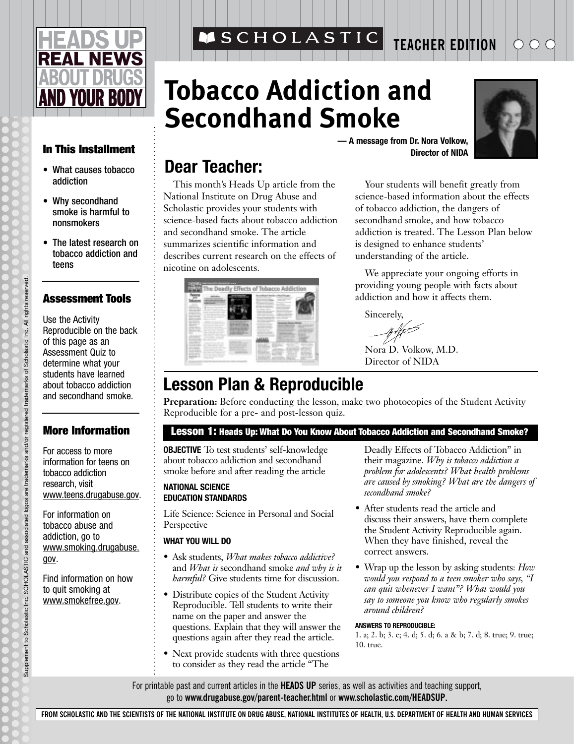# **REAL NEWS D YOUR BOD**

#### **In This Installment**

- What causes tobacco addiction
- Why secondhand smoke is harmful to nonsmokers
- The latest research on tobacco addiction and teens

#### **Assessment Tools**

Use the Activity Reproducible on the back of this page as an Assessment Quiz to determine what your students have learned about tobacco addiction and secondhand smoke.

#### **More Information**

For access to more information for teens on tobacco addiction research, visit www.teens.drugabuse.gov.

For information on tobacco abuse and addiction, go to www.smoking.drugabuse. gov.

Find information on how to quit smoking at www.smokefree.gov.

**MSCHOLASTIC** 

# **Tobacco Addiction and Secondhand Smoke**



**— A message from Dr. Nora Volkow, Director of NIDA**

### **Dear Teacher:**

This month's Heads Up article from the National Institute on Drug Abuse and Scholastic provides your students with science-based facts about tobacco addiction and secondhand smoke. The article summarizes scientific information and describes current research on the effects of nicotine on adolescents.

Your students will benefit greatly from science-based information about the effects of tobacco addiction, the dangers of secondhand smoke, and how tobacco addiction is treated. The Lesson Plan below is designed to enhance students' understanding of the article.

**TEACHER EDITION**

We appreciate your ongoing efforts in providing young people with facts about addiction and how it affects them.

Sincerely,

Nora D. Volkow, M.D. Director of NIDA

## **Lesson Plan & Reproducible**

**Preparation:** Before conducting the lesson, make two photocopies of the Student Activity Reproducible for a pre- and post-lesson quiz.

#### **Lesson 1: Heads Up: What Do You Know About Tobacco Addiction and Secondhand Smoke?**

**OBJECTIVE** To test students' self-knowledge about tobacco addiction and secondhand smoke before and after reading the article

#### **NATIONAL SCIENCE EDUCATION STANDARDS**

Life Science: Science in Personal and Social Perspective

#### **WHAT YOU WILL DO**

- Ask students, *What makes tobacco addictive?* and *What is* secondhand smoke *and why is it harmful?* Give students time for discussion.
- Distribute copies of the Student Activity Reproducible. Tell students to write their name on the paper and answer the questions. Explain that they will answer the questions again after they read the article.
- Next provide students with three questions to consider as they read the article "The

Deadly Effects of Tobacco Addiction" in their magazine. *Why is tobacco addiction a problem for adolescents? What health problems are caused by smoking? What are the dangers of secondhand smoke?*

- After students read the article and discuss their answers, have them complete the Student Activity Reproducible again. When they have finished, reveal the correct answers.
- Wrap up the lesson by asking students: *How would you respond to a teen smoker who says, "I can quit whenever I want"? What would you say to someone you know who regularly smokes around children?*

#### **ANSWERS TO REPRODUCIBLE:**

1. a; 2. b; 3. c; 4. d; 5. d; 6. a & b; 7. d; 8. true; 9. true; 10. true.

For printable past and current articles in the **HEADS UP** series, as well as activities and teaching support, go to **www.drugabuse.gov/parent-teacher.html** or **www.scholastic.com/HEADSUP.**

**FROM SCHOLASTIC AND THE SCIENTISTS OF THE NATIONAL INSTITUTE ON DRUG ABUSE, NATIONAL INSTITUTES OF HEALTH, U.S. DEPARTMENT OF HEALTH AND HUMAN SERVICES**